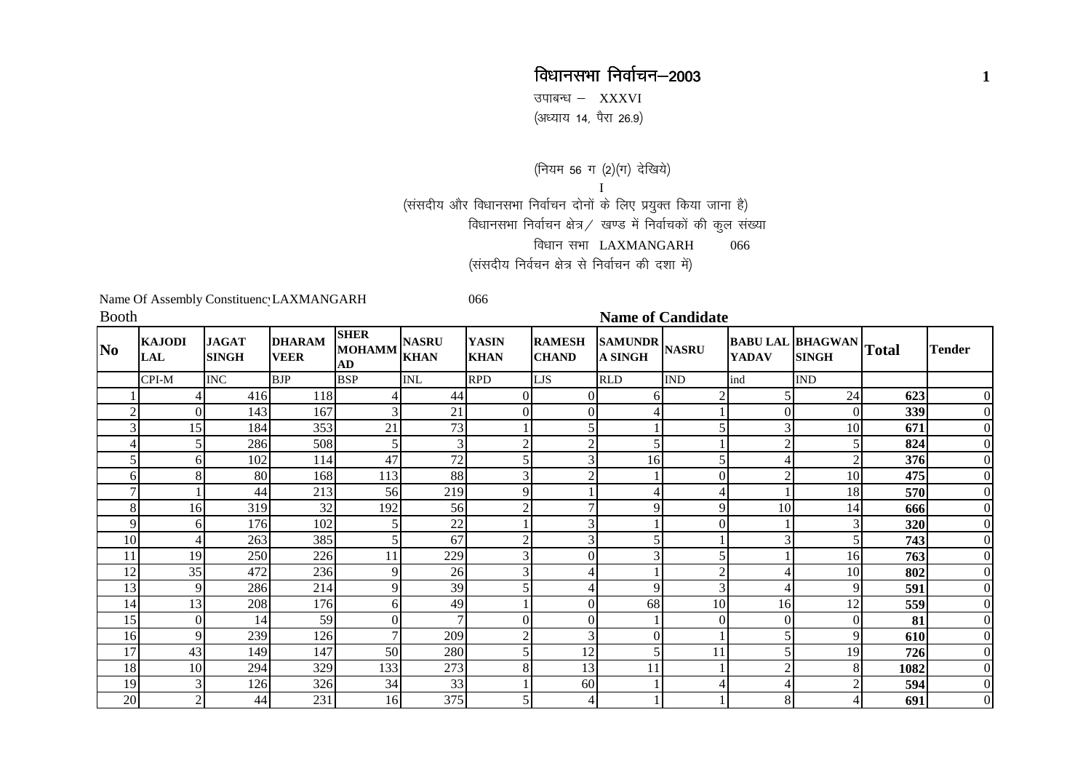## विधानसभा निर्वाचन–2003 **<sup>1</sup>**

उपाबन्ध  $-$  XXXVI (अध्याय 14, पैरा 26.9)

(नियम 56 ग (2)(ग) देखिये) I(संसदीय और विधानसभा निर्वाचन दोनों के लिए प्रयुक्त किया जाना है) विधानसभा निर्वाचन क्षेत्र $\angle$  खण्ड में निर्वाचकों की कुल संख्या विधान सभा LAXMANGARH 066 (संसदीय निर्वचन क्षेत्र से निर्वाचन की दशा में)

Name Of Assembly Constituency LAXMANGARH 066

| <b>Booth</b> |                             |                              |                              |                                    |                             |                             |                               |                                 | <b>Name of Candidate</b> |                |                                               |      |                |
|--------------|-----------------------------|------------------------------|------------------------------|------------------------------------|-----------------------------|-----------------------------|-------------------------------|---------------------------------|--------------------------|----------------|-----------------------------------------------|------|----------------|
| No           | <b>KAJODI</b><br><b>LAL</b> | <b>JAGAT</b><br><b>SINGH</b> | <b>DHARAM</b><br><b>VEER</b> | <b>SHER</b><br><b>MOHAMM</b><br>AD | <b>NASRU</b><br><b>KHAN</b> | <b>YASIN</b><br><b>KHAN</b> | <b>RAMESH</b><br><b>CHAND</b> | SAMUNDR NASRU<br><b>A SINGH</b> |                          | <b>YADAV</b>   | <b>BABU LAL BHAGWAN</b> Total<br><b>SINGH</b> |      | <b>Tender</b>  |
|              | CPI-M                       | <b>INC</b>                   | <b>BJP</b>                   | <b>BSP</b>                         | <b>INL</b>                  | <b>RPD</b>                  | LJS                           | <b>RLD</b>                      | <b>IND</b>               | ind            | <b>IND</b>                                    |      |                |
|              | 4                           | 416                          | 118                          |                                    | 44                          |                             | 0                             | 6                               | $\mathfrak{D}$           |                | 24                                            | 623  | $\overline{0}$ |
| 2            | $\overline{0}$              | 143                          | 167                          |                                    | 21                          |                             | $\Omega$                      |                                 |                          | $\Omega$       | $\overline{0}$                                | 339  | $\overline{0}$ |
|              | 15                          | 184                          | 353                          | 21                                 | 73                          |                             |                               |                                 |                          |                | 10                                            | 671  | $\overline{0}$ |
|              | 5 <sup>1</sup>              | 286                          | 508                          | 5                                  | $\overline{3}$              |                             | $\gamma$                      |                                 |                          | $\overline{2}$ |                                               | 824  | $\overline{0}$ |
|              | 6                           | 102                          | 114                          | 47                                 | 72                          |                             |                               | 16                              |                          |                |                                               | 376  | $\overline{0}$ |
| 6            | 8                           | 80                           | 168                          | 113                                | 88                          |                             | ◠                             |                                 | $\mathbf{0}$             | $\overline{2}$ | 10                                            | 475  | $\overline{0}$ |
| 7            |                             | 44                           | 213                          | 56                                 | 219                         |                             |                               |                                 |                          |                | 18                                            | 570  | $\overline{0}$ |
| 8            | 16                          | 319                          | 32                           | 192                                | 56                          |                             |                               | 9                               | 9                        | 10             | 14                                            | 666  | $\overline{0}$ |
| 9            | 6                           | 176                          | 102                          |                                    | $22\,$                      |                             |                               |                                 | $\theta$                 |                |                                               | 320  | $\overline{0}$ |
| 10           | 4                           | 263                          | 385                          |                                    | 67                          |                             | 3                             |                                 |                          | 3              |                                               | 743  | $\overline{0}$ |
| 11           | 19                          | 250                          | 226                          | 11                                 | 229                         |                             |                               | 3                               |                          |                | 16                                            | 763  | $\overline{0}$ |
| 12           | 35                          | 472                          | 236                          | 9                                  | 26                          |                             |                               |                                 | $\overline{2}$           | 4              | 10                                            | 802  | $\overline{0}$ |
| 13           | 9                           | 286                          | 214                          | $\overline{Q}$                     | 39                          |                             |                               | 9                               | 3                        |                | 9                                             | 591  | $\overline{0}$ |
| 14           | 13                          | 208                          | 176                          | 6                                  | 49                          |                             | $\Omega$                      | 68                              | 10                       | 16             | 12                                            | 559  | $\overline{0}$ |
| 15           | $\overline{0}$              | 14                           | 59                           | $\Omega$                           | $\tau$                      |                             |                               |                                 | $\Omega$                 | $\Omega$       | $\overline{0}$                                | 81   | $\overline{0}$ |
| 16           | 9                           | 239                          | 126                          | 7                                  | 209                         |                             | 3                             | $\Omega$                        |                          |                | 9                                             | 610  | $\overline{0}$ |
| 17           | 43                          | 149                          | 147                          | 50                                 | 280                         |                             | 12                            |                                 | 11                       |                | 19                                            | 726  | $\overline{0}$ |
| 18           | 10                          | 294                          | 329                          | 133                                | 273                         | 8                           | 13                            | 11                              |                          | $\overline{2}$ | 8                                             | 1082 | $\overline{0}$ |
| 19           | $\mathfrak{Z}$              | 126                          | 326                          | 34                                 | 33                          |                             | 60                            |                                 |                          |                |                                               | 594  | $\overline{0}$ |
| 20           | $\overline{2}$              | 44                           | 231                          | 16                                 | 375                         |                             | Δ                             |                                 |                          | 8              |                                               | 691  | $\overline{0}$ |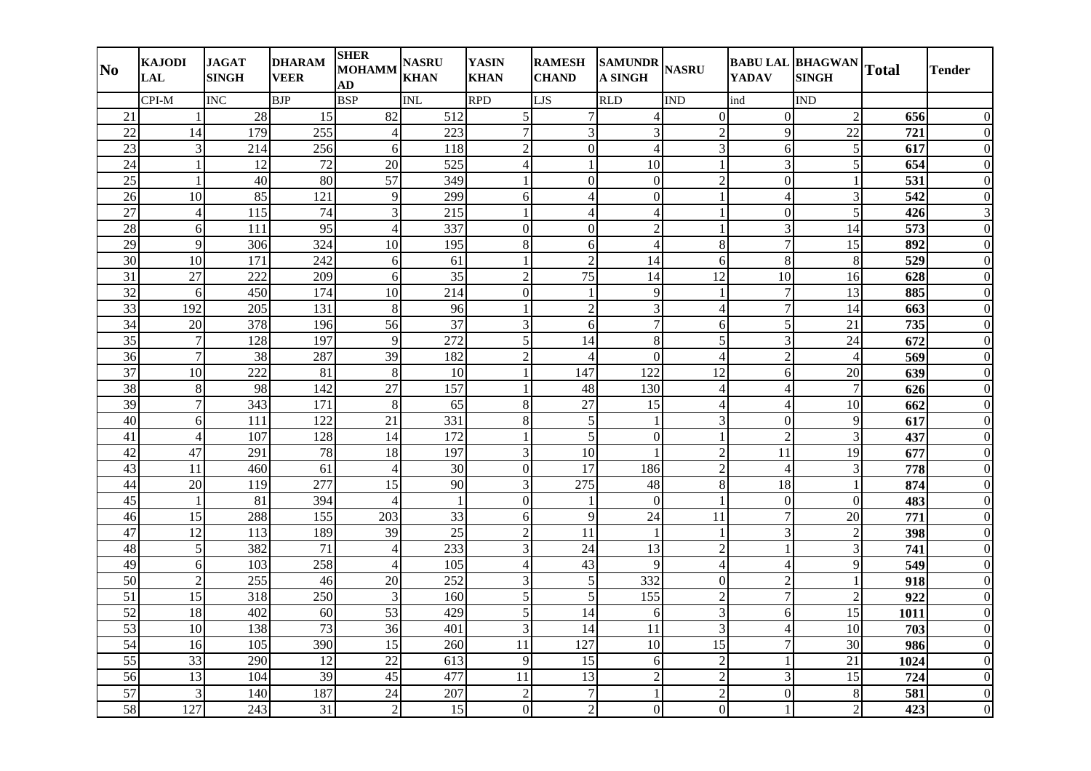| N <sub>0</sub>  | <b>KAJODI</b><br><b>LAL</b> | <b>JAGAT</b><br><b>SINGH</b> | <b>DHARAM</b><br><b>VEER</b> | <b>SHER</b><br><b>MOHAMM</b><br>AD | <b>NASRU</b><br><b>KHAN</b> | <b>YASIN</b><br><b>KHAN</b> | <b>RAMESH</b><br><b>CHAND</b> | SAMUNDR NASRU<br><b>A SINGH</b> |                 | <b>YADAV</b>             | <b>BABU LAL BHAGWAN</b><br><b>SINGH</b> | <b>Total</b>     | <b>Tender</b>  |
|-----------------|-----------------------------|------------------------------|------------------------------|------------------------------------|-----------------------------|-----------------------------|-------------------------------|---------------------------------|-----------------|--------------------------|-----------------------------------------|------------------|----------------|
|                 | CPI-M                       | <b>INC</b>                   | <b>BJP</b>                   | <b>BSP</b>                         | <b>INL</b>                  | <b>RPD</b>                  | LJS                           | <b>RLD</b>                      | <b>IND</b>      | ind                      | <b>IND</b>                              |                  |                |
| 21              | 1                           | 28                           | 15                           | $\overline{82}$                    | 512                         | 5                           | 7                             | $\overline{4}$                  | $\overline{0}$  | $\boldsymbol{0}$         | $\overline{2}$                          | 656              |                |
| $\overline{22}$ | 14                          | 179                          | $\overline{255}$             | 4                                  | $\overline{223}$            |                             | 3                             | 3                               | $\overline{2}$  | 9                        | $\overline{22}$                         | 721              |                |
| 23              | $\mathfrak{Z}$              | 214                          | 256                          | 6                                  | 118                         | $\overline{2}$              | $\boldsymbol{0}$              | $\overline{4}$                  | 3               | 6                        | 5                                       | 617              |                |
| 24              | $\mathbf{1}$                | 12                           | 72                           | 20                                 | 525                         | $\overline{4}$              |                               | 10                              |                 | $\overline{3}$           | 5                                       | 654              |                |
| 25              | $\mathbf{1}$                | 40                           | 80                           | 57                                 | 349                         |                             | $\mathbf{0}$                  | $\overline{0}$                  | $\overline{2}$  | $\overline{0}$           |                                         | 531              | $\theta$       |
| 26              | 10                          | 85                           | 121                          | 9                                  | 299                         | 6                           | $\overline{4}$                | $\mathbf{0}$                    | $\mathbf{1}$    | $\overline{4}$           | 3                                       | 542              | $\theta$       |
| 27              | $\overline{4}$              | 115                          | 74                           | 3                                  | 215                         |                             | $\overline{4}$                | $\overline{A}$                  |                 | $\mathbf{0}$             | 5                                       | 426              | 3              |
| 28              | 6                           | 111                          | $\overline{95}$              | 4                                  | 337                         | $\Omega$                    | $\mathbf{0}$                  | $\overline{c}$                  |                 | 3                        | 14                                      | $\overline{573}$ | $\Omega$       |
| 29              | 9                           | 306                          | 324                          | 10                                 | 195                         | 8                           | 6                             | $\overline{4}$                  | 8               | $\overline{7}$           | 15                                      | 892              | $\Omega$       |
| 30              | 10                          | 171                          | 242                          | 6                                  | 61                          |                             | $\overline{2}$                | 14                              | 6               | 8                        | 8                                       | 529              | 0              |
| 31              | 27                          | 222                          | 209                          | 6                                  | 35                          | $\overline{2}$              | 75                            | 14                              | 12              | 10                       | 16                                      | 628              |                |
| 32              | 6                           | 450                          | 174                          | 10                                 | 214                         | $\mathbf{0}$                | $\mathbf{1}$                  | 9                               |                 | $\overline{7}$           | 13                                      | 885              | $\Omega$       |
| $\overline{33}$ | 192                         | 205                          | 131                          | 8                                  | 96                          |                             | $\overline{2}$                | 3                               | $\overline{4}$  | $\overline{7}$           | 14                                      | $\overline{663}$ | $\Omega$       |
| 34              | 20                          | 378                          | 196                          | 56                                 | 37                          | 3                           | 6                             | $\overline{7}$                  | 6               | 5                        | 21                                      | 735              |                |
| 35              | $\boldsymbol{7}$            | 128                          | 197                          | $\overline{Q}$                     | 272                         | 5                           | 14                            | 8                               | 5               | 3                        | 24                                      | 672              | $\Omega$       |
| 36              | $\tau$                      | 38                           | 287                          | 39                                 | 182                         | $\overline{2}$              | $\overline{4}$                | $\mathbf{0}$                    | 4               | $\overline{2}$           | $\overline{A}$                          | 569              | $\Omega$       |
| $\overline{37}$ | $\overline{10}$             | $\overline{222}$             | 81                           | $8\phantom{.}$                     | 10                          |                             | 147                           | $\overline{122}$                | $\overline{12}$ | 6                        | $\overline{20}$                         | $\overline{639}$ | $\theta$       |
| 38              | $\,8\,$                     | 98                           | 142                          | 27                                 | 157                         |                             | 48                            | 130                             | $\overline{4}$  | 4                        | $\boldsymbol{7}$                        | 626              | $\Omega$       |
| 39              | $\overline{7}$              | $\overline{343}$             | 171                          | 8                                  | 65                          | 8                           | $\overline{27}$               | 15                              | $\overline{4}$  | $\overline{\mathcal{L}}$ | $\overline{10}$                         | 662              | $\theta$       |
| $\overline{40}$ | 6                           | 111                          | 122                          | 21                                 | 331                         | 8                           | $\sqrt{5}$                    | $\mathbf{1}$                    | 3               | $\overline{0}$           | 9                                       | 617              |                |
| 41              | $\overline{4}$              | 107                          | 128                          | 14                                 | 172                         |                             | 5                             | $\boldsymbol{0}$                |                 | $\overline{2}$           | 3                                       | 437              | 0              |
| $\overline{42}$ | 47                          | 291                          | 78                           | 18                                 | 197                         | 3                           | $\overline{10}$               | $\mathbf{1}$                    | $\overline{c}$  | $\overline{11}$          | $\overline{19}$                         | 677              |                |
| 43              | 11                          | 460                          | 61                           | Δ                                  | 30                          | $\Omega$                    | 17                            | 186                             | $\overline{2}$  | $\overline{4}$           | 3                                       | 778              | $\Omega$       |
| 44              | $\overline{20}$             | $\overline{119}$             | $\overline{277}$             | 15                                 | $\overline{90}$             | 3                           | $\overline{275}$              | 48                              | 8               | $\overline{18}$          |                                         | 874              | $\Omega$       |
| 45              | $\mathbf{1}$                | 81                           | 394                          | $\boldsymbol{\vartriangle}$        | $\mathbf{1}$                | $\Omega$                    |                               | $\mathbf{0}$                    |                 | $\boldsymbol{0}$         | $\Omega$                                | 483              |                |
| 46              | 15                          | 288                          | 155                          | 203                                | $\overline{33}$             | 6                           | 9                             | 24                              | 11              | $\overline{7}$           | $\overline{20}$                         | 771              | $\theta$       |
| 47              | $\overline{12}$             | 113                          | 189                          | 39                                 | $\overline{25}$             | $\overline{2}$              | $\overline{11}$               | $\mathbf{1}$                    | $\mathbf{1}$    | $\overline{3}$           | $\overline{2}$                          | 398              | $\theta$       |
| 48              | 5                           | 382                          | 71                           |                                    | 233                         | 3                           | 24                            | 13                              | $\overline{2}$  | 1                        | 3                                       | $\overline{741}$ |                |
| 49              | $\sqrt{6}$                  | 103                          | 258                          | $\boldsymbol{\vartriangle}$        | 105                         | $\overline{4}$              | 43                            | 9                               | $\overline{4}$  | $\overline{4}$           | 9                                       | $\overline{549}$ |                |
| 50              | $\sqrt{2}$                  | 255                          | 46                           | 20                                 | 252                         | 3                           | $\overline{5}$                | 332                             | $\overline{0}$  | $\overline{c}$           |                                         | 918              |                |
| $\overline{51}$ | 15                          | 318                          | 250                          | 3                                  | 160                         | 5                           | 5                             | 155                             | $\overline{c}$  | $\boldsymbol{7}$         | $\overline{2}$                          | $\overline{922}$ | 0              |
| $\overline{52}$ | $\overline{18}$             | 402                          | 60                           | $\overline{53}$                    | 429                         | 5                           | 14                            | 6                               | $\overline{3}$  | 6                        | $\overline{15}$                         | 1011             |                |
| 53              | 10                          | 138                          | 73                           | 36                                 | 401                         | 3                           | 14                            | 11                              | 3               | $\overline{4}$           | 10                                      | 703              | $\Omega$       |
| 54              | 16                          | 105                          | 390                          | 15                                 | 260                         | 11                          | 127                           | 10                              | 15              | $\overline{7}$           | 30                                      | 986              | $\theta$       |
| $\overline{55}$ | 33                          | 290                          | 12                           | 22                                 | 613                         | 9                           | 15                            | 6                               | $\overline{c}$  | $\mathbf{1}$             | 21                                      | 1024             | $\Omega$       |
| 56              | 13                          | 104                          | 39                           | 45                                 | 477                         | 11                          | 13                            | $\overline{c}$                  | $\overline{2}$  | 3                        | 15                                      | 724              | $\overline{0}$ |
| 57              | 3                           | 140                          | 187                          | 24                                 | 207                         | $\overline{2}$              | $\overline{7}$                | $\mathbf{1}$                    | $\overline{2}$  | $\mathbf{0}$             | 8                                       | 581              | $\theta$       |
| 58              | 127                         | 243                          | 31                           | $\overline{2}$                     | 15                          | $\Omega$                    | $\overline{2}$                | $\mathbf{0}$                    | $\overline{0}$  |                          | $\overline{2}$                          | 423              | $\mathbf{0}$   |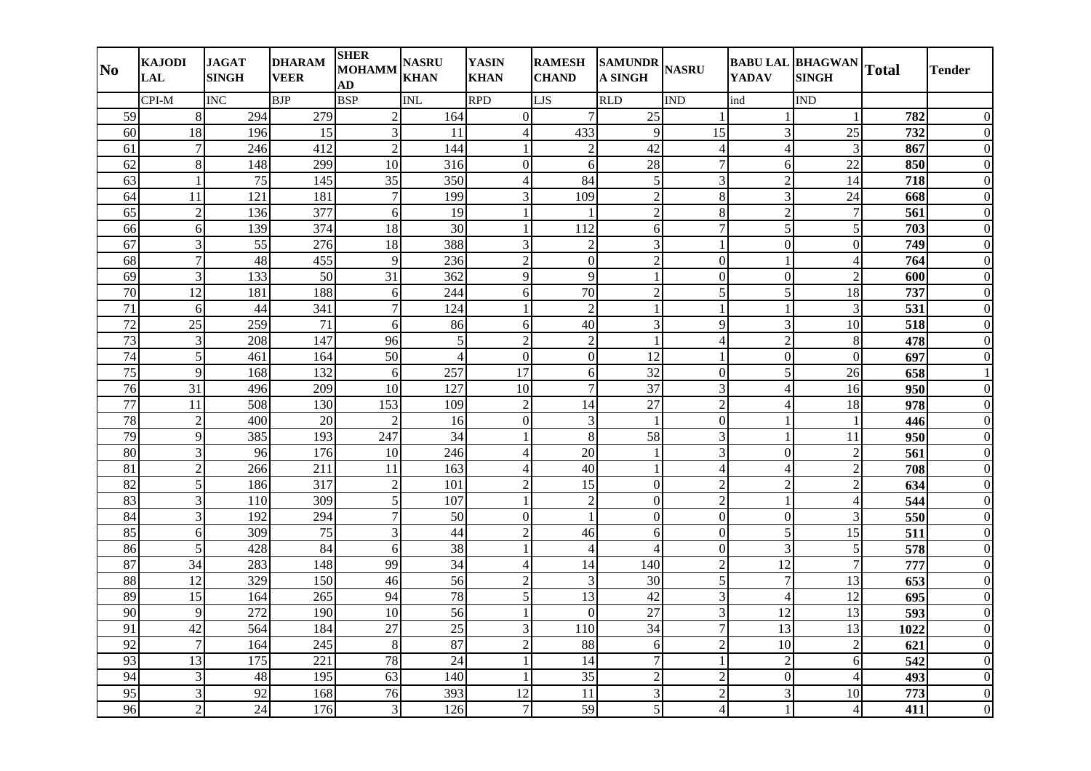| N <sub>0</sub>  | <b>KAJODI</b><br><b>LAL</b> | <b>JAGAT</b><br><b>SINGH</b> | <b>DHARAM</b><br><b>VEER</b> | <b>SHER</b><br><b>MOHAMM</b><br>AD | <b>NASRU</b><br><b>KHAN</b> | <b>YASIN</b><br><b>KHAN</b> | <b>RAMESH</b><br><b>CHAND</b> | SAMUNDR NASRU<br><b>A SINGH</b> |                         | <b>YADAV</b>             | <b>BABU LAL BHAGWAN</b><br><b>SINGH</b> | <b>Total</b>     | <b>Tender</b>  |
|-----------------|-----------------------------|------------------------------|------------------------------|------------------------------------|-----------------------------|-----------------------------|-------------------------------|---------------------------------|-------------------------|--------------------------|-----------------------------------------|------------------|----------------|
|                 | CPI-M                       | <b>INC</b>                   | <b>BJP</b>                   | <b>BSP</b>                         | <b>INL</b>                  | <b>RPD</b>                  | LJS                           | <b>RLD</b>                      | <b>IND</b>              | ind                      | <b>IND</b>                              |                  |                |
| 59              | $\,8\,$                     | 294                          | 279                          | $\overline{2}$                     | 164                         | $\boldsymbol{0}$            | 7                             | 25                              |                         | 1                        |                                         | 782              |                |
| 60              | 18                          | 196                          | $\overline{15}$              | 3                                  | 11                          | $\overline{\mathcal{L}}$    | 433                           | 9                               | 15                      | 3                        | $\overline{25}$                         | 732              | $\Omega$       |
| 61              | $\overline{7}$              | 246                          | 412                          | 2                                  | 144                         |                             | $\overline{2}$                | 42                              | 4                       | $\overline{4}$           | 3                                       | 867              |                |
| 62              | $\,8\,$                     | 148                          | 299                          | 10                                 | 316                         | $\overline{0}$              | 6                             | 28                              | $\overline{7}$          | 6                        | $\overline{22}$                         | 850              |                |
| 63              | $\mathbf{1}$                | 75                           | 145                          | 35                                 | 350                         | $\overline{4}$              | 84                            | $\sqrt{5}$                      | 3                       | $\overline{2}$           | 14                                      | 718              | $\theta$       |
| 64              | 11                          | 121                          | 181                          | $\overline{7}$                     | 199                         | 3                           | 109                           | $\overline{c}$                  | 8                       | 3                        | 24                                      | 668              | $\theta$       |
| 65              | $\overline{2}$              | 136                          | 377                          | 6                                  | 19                          |                             |                               | $\overline{2}$                  | 8                       | $\overline{2}$           | $\overline{7}$                          | 561              | $\theta$       |
| 66              | $\sqrt{6}$                  | 139                          | 374                          | 18                                 | 30                          |                             | 112                           | $\sqrt{6}$                      | $\overline{7}$          | 5                        | 5                                       | 703              | $\Omega$       |
| 67              | 3                           | 55                           | 276                          | 18                                 | 388                         | 3                           | $\overline{2}$                | 3                               | $\mathbf{1}$            | $\overline{0}$           | $\overline{0}$                          | 749              | $\Omega$       |
| 68              | $\boldsymbol{7}$            | 48                           | 455                          | 9                                  | 236                         | $\overline{2}$              | $\mathbf{0}$                  | $\overline{2}$                  | $\overline{0}$          | $\mathbf{1}$             | $\overline{4}$                          | 764              | $\Omega$       |
| 69              | 3                           | 133                          | 50                           | 31                                 | 362                         | 9                           | 9                             | $\mathbf{1}$                    | $\overline{0}$          | $\boldsymbol{0}$         | $\overline{2}$                          | 600              |                |
| $\overline{70}$ | 12                          | 181                          | 188                          | 6                                  | 244                         | 6                           | 70                            | $\overline{2}$                  | 5                       | 5                        | 18                                      | 737              | $\Omega$       |
| $\overline{71}$ | 6                           | 44                           | 341                          | $\overline{7}$                     | 124                         |                             | $\overline{2}$                | $\mathbf{1}$                    | $\mathbf{1}$            | $\mathbf{1}$             | 3                                       | $\overline{531}$ | $\Omega$       |
| 72              | 25                          | 259                          | 71                           | 6                                  | 86                          | 6                           | 40                            | 3                               | 9                       | 3                        | 10                                      | 518              | $\theta$       |
| 73              | $\ensuremath{\mathfrak{Z}}$ | 208                          | 147                          | 96                                 | 5                           | $\overline{2}$              | $\overline{2}$                | $\mathbf{1}$                    | $\overline{4}$          | $\overline{c}$           | $\,8\,$                                 | 478              | $\Omega$       |
| 74              | 5                           | 461                          | 164                          | 50                                 | $\overline{4}$              | $\Omega$                    | $\mathbf{0}$                  | 12                              | $\mathbf{1}$            | $\boldsymbol{0}$         | $\overline{0}$                          | 697              | $\theta$       |
| $\overline{75}$ | 9                           | 168                          | 132                          | 6                                  | 257                         | 17                          | 6                             | $\overline{32}$                 | $\overline{0}$          | 5                        | 26                                      | 658              |                |
| 76              | $\overline{31}$             | 496                          | 209                          | 10                                 | 127                         | 10                          | $\overline{7}$                | 37                              | $\overline{3}$          | 4                        | 16                                      | 950              | $\Omega$       |
| $\overline{77}$ | 11                          | 508                          | 130                          | 153                                | 109                         | $\overline{2}$              | 14                            | $\overline{27}$                 | $\overline{2}$          | $\overline{\mathcal{L}}$ | $\overline{18}$                         | 978              | $\theta$       |
| 78              | $\sqrt{2}$                  | 400                          | 20                           | $\overline{2}$                     | 16                          | $\Omega$                    | $\mathfrak{Z}$                | $\mathbf{1}$                    | $\overline{0}$          | $\mathbf{1}$             |                                         | 446              |                |
| 79              | $\overline{9}$              | 385                          | 193                          | 247                                | 34                          |                             | $\,8\,$                       | $\overline{58}$                 | 3                       | 1                        | 11                                      | 950              | 0              |
| $\overline{80}$ | $\mathfrak{Z}$              | 96                           | 176                          | 10                                 | $\overline{246}$            | $\Delta$                    | $\overline{20}$               | $\mathbf{1}$                    | $\overline{3}$          | $\overline{0}$           | $\overline{2}$                          | $\overline{561}$ | 0              |
| 81              | $\sqrt{2}$                  | 266                          | 211                          | 11                                 | 163                         | $\Delta$                    | 40                            | $\mathbf{1}$                    | $\overline{4}$          | 4                        | $\overline{2}$                          | 708              | $\Omega$       |
| $\overline{82}$ | 5                           | 186                          | $\overline{317}$             | $\overline{2}$                     | 101                         | $\overline{2}$              | $\overline{15}$               | $\mathbf{0}$                    | $\overline{2}$          | $\overline{c}$           | $\overline{2}$                          | $\overline{634}$ | $\Omega$       |
| 83              | $\mathfrak{Z}$              | 110                          | 309                          | 5                                  | 107                         |                             | $\overline{c}$                | $\mathbf{0}$                    | $\overline{2}$          | $\mathbf{1}$             | $\overline{\mathcal{A}}$                | 544              | 0              |
| 84              | $\mathfrak{Z}$              | 192                          | 294                          | $\overline{7}$                     | $\overline{50}$             | $\boldsymbol{0}$            | $\mathbf{1}$                  | $\boldsymbol{0}$                | $\overline{0}$          | $\boldsymbol{0}$         | 3                                       | 550              | $\theta$       |
| 85              | 6                           | 309                          | $\overline{75}$              | 3                                  | $\overline{44}$             | $\overline{2}$              | 46                            | 6                               | $\overline{0}$          | 5                        | $\overline{15}$                         | $\overline{511}$ | $\theta$       |
| 86              | 5                           | 428                          | 84                           | 6                                  | 38                          |                             | $\overline{4}$                | $\overline{\mathcal{A}}$        | $\mathbf{0}$            | 3                        | 5                                       | 578              |                |
| 87              | 34                          | 283                          | 148                          | 99                                 | 34                          | $\overline{4}$              | 14                            | 140                             | $\overline{c}$          | $\overline{12}$          | $\overline{7}$                          | 777              |                |
| 88              | $\overline{12}$             | 329                          | 150                          | 46                                 | $\overline{56}$             | $\overline{2}$              | $\mathfrak{Z}$                | $\overline{30}$                 | $\overline{5}$          | $\overline{7}$           | $\overline{13}$                         | $\overline{653}$ |                |
| 89              | 15                          | 164                          | $\overline{265}$             | 94                                 | 78                          | 5                           | $\overline{13}$               | $\overline{42}$                 | 3                       | $\overline{4}$           | $\overline{12}$                         | 695              | $\theta$       |
| 90              | 9                           | $\overline{272}$             | 190                          | 10                                 | $\overline{56}$             |                             | $\mathbf{0}$                  | $\overline{27}$                 | $\overline{3}$          | 12                       | $\overline{13}$                         | $\overline{593}$ |                |
| 91              | $\overline{42}$             | 564                          | 184                          | $\overline{27}$                    | $\overline{25}$             | 3                           | 110                           | 34                              | $\overline{7}$          | $\overline{13}$          | $\overline{13}$                         | 1022             | $\Omega$       |
| 92              | $\overline{7}$              | 164                          | 245                          | 8                                  | 87                          | $\overline{2}$              | 88                            | 6                               | $\overline{c}$          | 10                       | $\overline{2}$                          | 621              | $\theta$       |
| 93              | 13                          | 175                          | 221                          | 78                                 | 24                          |                             | 14                            | $\overline{7}$                  | $\mathbf{1}$            | $\overline{2}$           | 6                                       | 542              | $\Omega$       |
| 94              | $\mathfrak{Z}$              | 48                           | 195                          | 63                                 | 140                         |                             | 35                            | $\overline{c}$                  | $\overline{c}$          | $\overline{0}$           | $\overline{4}$                          | 493              | $\overline{0}$ |
| 95              | 3                           | 92                           | 168                          | 76                                 | 393                         | 12                          | 11                            | 3                               | $\overline{2}$          | 3                        | 10                                      | 773              | $\theta$       |
| 96              | $\sqrt{2}$                  | 24                           | 176                          | 3                                  | 126                         | $\overline{7}$              | 59                            | 5                               | $\overline{\mathbf{4}}$ | 1                        | $\overline{4}$                          | 411              | $\mathbf{0}$   |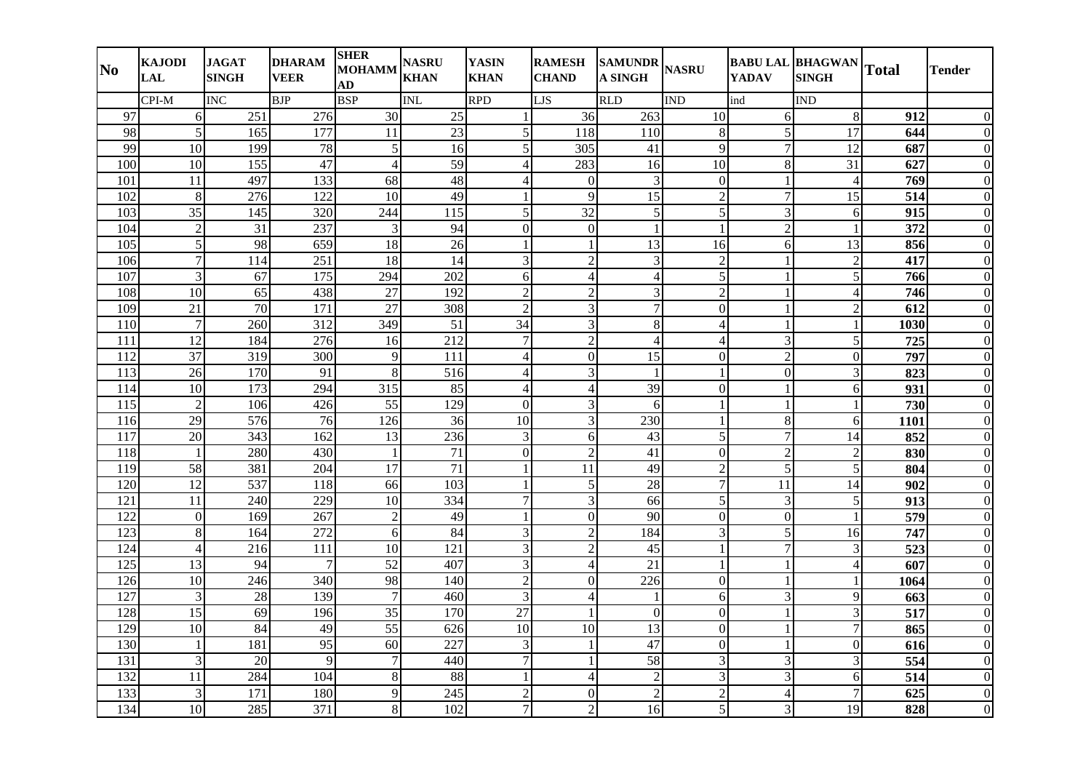| N <sub>0</sub>   | <b>KAJODI</b><br><b>LAL</b> | <b>JAGAT</b><br><b>SINGH</b> | <b>DHARAM</b><br><b>VEER</b> | <b>SHER</b><br><b>MOHAMM</b><br>AD | <b>NASRU</b><br><b>KHAN</b> | <b>YASIN</b><br><b>KHAN</b> | <b>RAMESH</b><br><b>CHAND</b> | <b>SAMUNDR</b><br><b>A SINGH</b> | <b>NASRU</b>   | <b>YADAV</b>     | <b>BABU LAL BHAGWAN</b><br><b>SINGH</b> | <b>Total</b>     | <b>Tender</b>  |
|------------------|-----------------------------|------------------------------|------------------------------|------------------------------------|-----------------------------|-----------------------------|-------------------------------|----------------------------------|----------------|------------------|-----------------------------------------|------------------|----------------|
|                  | CPI-M                       | <b>INC</b>                   | <b>BJP</b>                   | <b>BSP</b>                         | <b>INL</b>                  | <b>RPD</b>                  | <b>LJS</b>                    | <b>RLD</b>                       | IND            | ind              | <b>IND</b>                              |                  |                |
| 97               | 6                           | 251                          | 276                          | 30                                 | 25                          |                             | 36                            | 263                              | 10             | 6                | 8                                       | 912              |                |
| 98               | 5                           | 165                          | 177                          | 11                                 | 23                          | 5                           | 118                           | 110                              | 8              | 5                | 17                                      | 644              | 0              |
| 99               | $\overline{10}$             | 199                          | 78                           | 5                                  | 16                          | 5                           | 305                           | $\overline{41}$                  | 9              | $\overline{7}$   | $\overline{12}$                         | 687              | $\Omega$       |
| 100              | 10                          | 155                          | 47                           | $\overline{4}$                     | 59                          | Δ                           | 283                           | 16                               | 10             | 8                | 31                                      | 627              |                |
| 101              | 11                          | 497                          | 133                          | 68                                 | 48                          | $\overline{4}$              | $\mathbf{0}$                  | 3                                | $\mathbf{0}$   | $\mathbf{1}$     | $\overline{4}$                          | 769              | $\Omega$       |
| 102              | 8                           | 276                          | 122                          | 10                                 | 49                          |                             | 9                             | 15                               | $\overline{c}$ | $\overline{7}$   | 15                                      | 514              | $\Omega$       |
| 103              | 35                          | 145                          | 320                          | 244                                | 115                         | 5                           | $\overline{32}$               | 5                                | 5              | 3                | 6                                       | 915              | $\Omega$       |
| 104              | $\overline{c}$              | 31                           | 237                          | $\overline{3}$                     | 94                          | $\overline{0}$              | $\overline{0}$                | $\mathbf{1}$                     | $\mathbf{1}$   | $\overline{2}$   |                                         | $\overline{372}$ | $\theta$       |
| 105              | 5                           | 98                           | 659                          | 18                                 | 26                          |                             |                               | 13                               | 16             | 6                | $\overline{13}$                         | 856              | 0              |
| 106              | $\boldsymbol{7}$            | 114                          | 251                          | 18                                 | 14                          | 3                           | $\overline{2}$                | 3                                | $\overline{c}$ | 1                | $\overline{2}$                          | 417              | $\Omega$       |
| 107              | 3                           | 67                           | 175                          | 294                                | 202                         | 6                           | $\overline{4}$                | $\overline{4}$                   | 5              | 1                | 5                                       | 766              |                |
| 108              | 10                          | 65                           | 438                          | 27                                 | 192                         | $\mathcal{D}$               | $\overline{2}$                | 3                                | $\overline{2}$ | 1                | $\overline{\mathcal{A}}$                | 746              |                |
| 109              | 21                          | $\overline{70}$              | 171                          | 27                                 | 308                         | $\overline{2}$              | 3                             | $\overline{7}$                   | $\overline{0}$ | $\mathbf{1}$     | $\overline{2}$                          | 612              |                |
| 110              | $\overline{7}$              | 260                          | 312                          | 349                                | $\overline{51}$             | 34                          | 3                             | 8                                | $\overline{4}$ | $\mathbf{1}$     |                                         | 1030             | $\Omega$       |
| 111              | 12                          | 184                          | 276                          | 16                                 | 212                         | $\overline{7}$              | $\overline{2}$                | $\overline{4}$                   | $\overline{4}$ | 3                | 5                                       | 725              | $\Omega$       |
| 112              | 37                          | 319                          | 300                          | 9                                  | 111                         | Δ                           | $\Omega$                      | 15                               | $\Omega$       | $\overline{c}$   | $\Omega$                                | 797              | $\Omega$       |
| 113              | 26                          | 170                          | 91                           | 8                                  | 516                         | $\overline{\mathcal{A}}$    | $\mathfrak{Z}$                | $\overline{1}$                   | 1              | $\boldsymbol{0}$ | 3                                       | 823              | $\Omega$       |
| 114              | $\overline{10}$             | $\overline{173}$             | 294                          | 315                                | 85                          | $\Delta$                    | $\overline{4}$                | 39                               | $\overline{0}$ | $\mathbf{1}$     | 6                                       | 931              |                |
| $\overline{115}$ | $\overline{2}$              | 106                          | 426                          | 55                                 | 129                         | $\Omega$                    | $\overline{\mathbf{3}}$       | 6                                |                | $\mathbf{1}$     |                                         | 730              | $\Omega$       |
| 116              | $\overline{29}$             | 576                          | 76                           | 126                                | 36                          | 10                          | 3                             | 230                              | $\mathbf{1}$   | 8                | 6                                       | 1101             |                |
| 117              | 20                          | 343                          | 162                          | 13                                 | 236                         | 3                           | 6                             | 43                               | 5              | $\overline{7}$   | 14                                      | 852              | $\Omega$       |
| 118              | $\mathbf{1}$                | 280                          | 430                          | $\mathbf{1}$                       | 71                          | $\Omega$                    | $\overline{2}$                | 41                               | $\overline{0}$ | $\overline{c}$   | $\overline{2}$                          | 830              |                |
| 119              | 58                          | 381                          | 204                          | 17                                 | $\overline{71}$             |                             | 11                            | 49                               | $\overline{2}$ | 5                | 5                                       | 804              | $\Omega$       |
| 120              | $\overline{12}$             | 537                          | 118                          | 66                                 | 103                         | $\overline{1}$              | $\overline{5}$                | 28                               | $\overline{7}$ | $\overline{11}$  | $\overline{14}$                         | $\overline{902}$ | 0              |
| 121              | 11                          | 240                          | 229                          | 10                                 | 334                         | 7                           | 3                             | 66                               | 5              | 3                | 5                                       | 913              | $\Omega$       |
| 122              | $\boldsymbol{0}$            | 169                          | 267                          | $\overline{2}$                     | 49                          |                             | $\mathbf{0}$                  | 90                               | $\overline{0}$ | $\overline{0}$   |                                         | 579              | $\theta$       |
| $\overline{123}$ | 8                           | 164                          | $\overline{272}$             | 6                                  | 84                          | 3                           | $\overline{2}$                | 184                              | $\overline{3}$ | 5                | 16                                      | $\overline{747}$ | $\theta$       |
| 124              | $\overline{4}$              | 216                          | 111                          | 10                                 | 121                         | 3                           | $\overline{2}$                | 45                               |                | $\overline{7}$   | 3                                       | $\overline{523}$ |                |
| 125              | 13                          | 94                           | $\overline{7}$               | $\overline{52}$                    | 407                         | 3                           | $\overline{4}$                | 21                               |                | 1                | $\Delta$                                | 607              |                |
| 126              | 10                          | 246                          | 340                          | 98                                 | 140                         | $\overline{2}$              | $\mathbf{0}$                  | 226                              | $\Omega$       | $\mathbf{1}$     |                                         | 1064             |                |
| $\overline{127}$ | 3                           | 28                           | 139                          | $\tau$                             | 460                         | 3                           | $\overline{4}$                | -1                               | 6              | 3                | 9                                       | 663              | 0              |
| 128              | $\overline{15}$             | $\overline{69}$              | $\frac{196}{ }$              | $\overline{35}$                    | $\overline{170}$            | $\overline{27}$             | $\mathbf{1}$                  | $\boldsymbol{0}$                 | $\mathbf{0}$   | $\mathbf{1}$     | 3                                       | $\overline{517}$ |                |
| 129              | $\overline{10}$             | 84                           | 49                           | $\overline{55}$                    | 626                         | $\overline{10}$             | 10                            | $\overline{13}$                  | $\overline{0}$ | $\mathbf{1}$     | $\overline{7}$                          | 865              | $\theta$       |
| 130              | 1                           | 181                          | 95                           | 60                                 | 227                         | 3                           | $\mathbf{1}$                  | 47                               | $\overline{0}$ | $\mathbf{1}$     | $\overline{0}$                          | 616              | $\theta$       |
| 131              | 3                           | 20                           | 9                            | $\tau$                             | 440                         | $\overline{7}$              | $\mathbf{1}$                  | $\overline{58}$                  | 3              | 3                | 3                                       | 554              | $\Omega$       |
| 132              | 11                          | 284                          | 104                          | 8                                  | 88                          |                             | $\overline{4}$                | $\overline{c}$                   | 3              | 3                | 6                                       | 514              | $\overline{0}$ |
| 133              | 3                           | 171                          | 180                          | $\overline{Q}$                     | 245                         | $\mathfrak{D}$              | $\mathbf{0}$                  | $\overline{2}$                   | $\overline{2}$ | $\overline{4}$   |                                         | 625              | $\Omega$       |
| 134              | 10                          | 285                          | 371                          | 8                                  | 102                         | $\overline{7}$              | $\overline{2}$                | 16                               | 5              | 3                | 19                                      | 828              | $\mathbf{0}$   |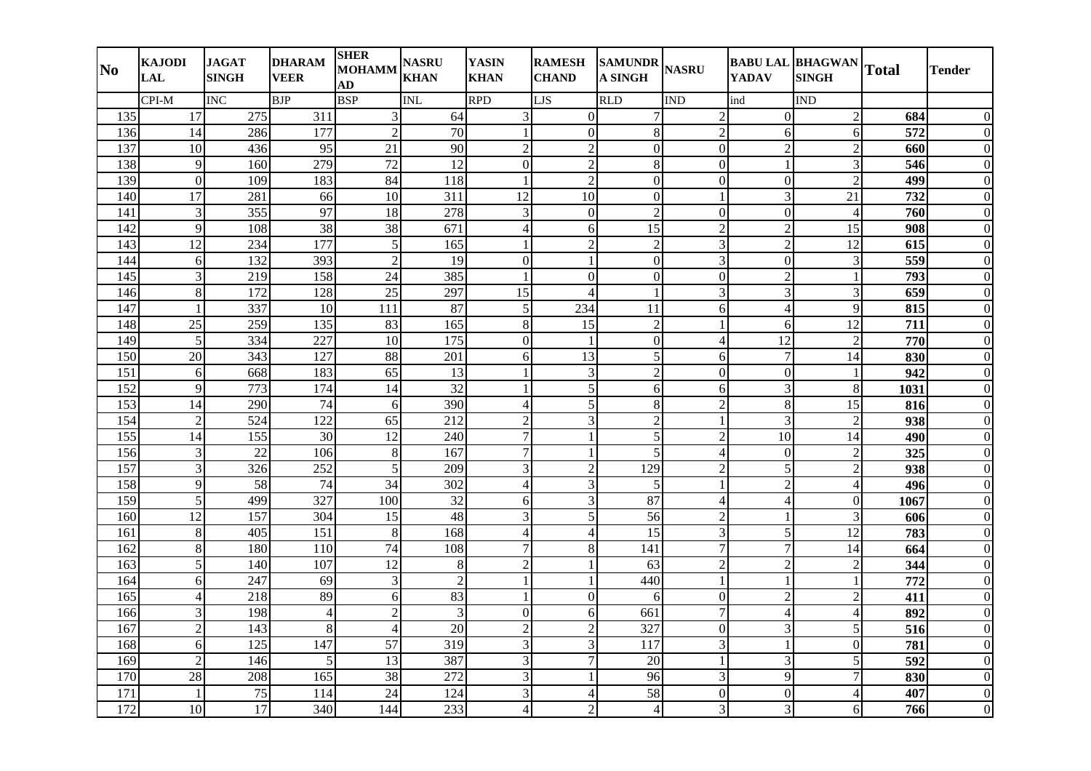| $\bf No$ | <b>KAJODI</b><br><b>LAL</b> | <b>JAGAT</b><br><b>SINGH</b> | <b>DHARAM</b><br><b>VEER</b> | <b>SHER</b><br><b>MOHAMM</b><br>AD | <b>NASRU</b><br><b>KHAN</b> | <b>YASIN</b><br><b>KHAN</b> | <b>RAMESH</b><br><b>CHAND</b> | SAMUNDR NASRU<br><b>A SINGH</b> |                  | <b>YADAV</b>     | <b>BABU LAL BHAGWAN</b><br><b>SINGH</b> | <b>Total</b>     | <b>Tender</b>    |
|----------|-----------------------------|------------------------------|------------------------------|------------------------------------|-----------------------------|-----------------------------|-------------------------------|---------------------------------|------------------|------------------|-----------------------------------------|------------------|------------------|
|          | CPI-M                       | INC                          | <b>BJP</b>                   | <b>BSP</b>                         | <b>INL</b>                  | <b>RPD</b>                  | LJS                           | <b>RLD</b>                      | <b>IND</b>       | ind              | IND                                     |                  |                  |
| 135      | 17                          | 275                          | 311                          | 3                                  | 64                          | 3                           | $\overline{0}$                | $\tau$                          | $\overline{2}$   | $\Omega$         | $\overline{2}$                          | 684              | $\Omega$         |
| 136      | 14                          | 286                          | 177                          | $\overline{2}$                     | $\overline{70}$             |                             | $\boldsymbol{0}$              | 8                               | $\overline{2}$   | 6                | 6                                       | $\overline{572}$ | $\theta$         |
| 137      | 10                          | 436                          | 95                           | 21                                 | 90                          | $\overline{2}$              | $\overline{2}$                | $\boldsymbol{0}$                | $\boldsymbol{0}$ | $\overline{2}$   | $\overline{2}$                          | 660              | $\Omega$         |
| 138      | 9                           | 160                          | 279                          | $\overline{72}$                    | $\overline{12}$             | $\mathbf{0}$                | $\overline{2}$                | 8                               | $\overline{0}$   | $\mathbf{1}$     | 3                                       | 546              | $\Omega$         |
| 139      | $\overline{0}$              | 109                          | 183                          | 84                                 | 118                         | $\overline{1}$              | $\overline{2}$                | $\mathbf{0}$                    | $\overline{0}$   | $\mathbf{0}$     | $\overline{2}$                          | 499              | $\overline{0}$   |
| 140      | 17                          | 281                          | 66                           | 10                                 | 311                         | 12                          | 10                            | $\boldsymbol{0}$                | $\mathbf{1}$     | 3                | 21                                      | 732              | $\overline{0}$   |
| 141      | 3                           | 355                          | 97                           | 18                                 | 278                         | 3                           | $\mathbf{0}$                  | $\overline{2}$                  | $\overline{0}$   | $\boldsymbol{0}$ | $\overline{\mathcal{A}}$                | 760              | $\overline{0}$   |
| 142      | 9                           | 108                          | $\overline{38}$              | 38                                 | 671                         | $\overline{A}$              | 6                             | $\overline{15}$                 | $\overline{c}$   | $\overline{c}$   | 15                                      | 908              | $\Omega$         |
| 143      | 12                          | 234                          | 177                          | 5                                  | 165                         |                             | $\overline{2}$                | $\overline{c}$                  | 3                | $\overline{2}$   | 12                                      | 615              | $\theta$         |
| 144      | 6                           | 132                          | 393                          | $\mathfrak{D}$                     | 19                          | $\Omega$                    |                               | $\mathbf{0}$                    | 3                | $\overline{0}$   | $\mathfrak{Z}$                          | 559              | $\Omega$         |
| 145      | 3                           | 219                          | 158                          | 24                                 | 385                         |                             | $\boldsymbol{0}$              | $\mathbf{0}$                    | $\mathbf{0}$     | $\overline{c}$   |                                         | 793              | $\Omega$         |
| 146      | 8                           | 172                          | 128                          | 25                                 | 297                         | 15                          | $\overline{4}$                | $\mathbf{1}$                    | 3                | 3                | 3                                       | 659              | $\theta$         |
| 147      | $\mathbf{1}$                | 337                          | $\overline{10}$              | 111                                | 87                          | 5                           | 234                           | 11                              | $6 \overline{6}$ | $\overline{4}$   | 9                                       | 815              | $\theta$         |
| 148      | 25                          | 259                          | 135                          | 83                                 | 165                         | 8                           | 15                            | $\overline{c}$                  |                  | 6                | 12                                      | 711              | $\overline{0}$   |
| 149      | 5                           | 334                          | 227                          | 10                                 | 175                         | $\Omega$                    |                               | $\boldsymbol{0}$                | $\overline{4}$   | $\overline{12}$  | $\overline{\mathcal{L}}$                | 770              | $\Omega$         |
| 150      | 20                          | 343                          | 127                          | 88                                 | 201                         | 6                           | 13                            | 5                               | 6                | $\overline{7}$   | 14                                      | 830              | $\overline{0}$   |
| 151      | 6                           | 668                          | 183                          | 65                                 | 13                          |                             | 3                             | $\overline{2}$                  | $\overline{0}$   | $\boldsymbol{0}$ |                                         | $\overline{942}$ | $\overline{0}$   |
| 152      | 9                           | 773                          | 174                          | 14                                 | 32                          |                             | 5                             | 6                               | 6                | 3                | 8                                       | 1031             | $\Omega$         |
| 153      | $\overline{14}$             | 290                          | $\overline{74}$              | 6                                  | 390                         | $\overline{4}$              | $\overline{5}$                | 8                               | $\overline{2}$   | 8                | $\overline{15}$                         | 816              | $\overline{0}$   |
| 154      | $\overline{2}$              | 524                          | $\overline{122}$             | 65                                 | 212                         | $\overline{2}$              | 3                             | $\overline{c}$                  | $\mathbf{1}$     | 3                | $\overline{2}$                          | 938              | $\Omega$         |
| 155      | 14                          | 155                          | 30                           | 12                                 | 240                         | 7                           |                               | 5                               | $\overline{2}$   | 10               | 14                                      | 490              | $\theta$         |
| 156      | 3                           | $\overline{22}$              | $\frac{106}{2}$              | 8                                  | 167                         |                             |                               | 5                               | $\overline{4}$   | $\boldsymbol{0}$ | $\overline{2}$                          | 325              | $\theta$         |
| 157      | 3                           | 326                          | 252                          | 5                                  | 209                         | 3                           | $\overline{2}$                | 129                             | $\overline{2}$   | 5                | $\overline{2}$                          | 938              | $\Omega$         |
| 158      | 9                           | 58                           | 74                           | 34                                 | 302                         | $\overline{\mathcal{L}}$    | 3                             | $\sqrt{5}$                      | $\mathbf{1}$     | $\overline{2}$   | $\overline{A}$                          | 496              | $\overline{0}$   |
| 159      | 5                           | 499                          | $\overline{327}$             | 100                                | $\overline{32}$             | 6                           | $\overline{3}$                | 87                              | $\overline{4}$   | 4                | $\mathbf{0}$                            | 1067             | $\Omega$         |
| 160      | $\overline{12}$             | 157                          | 304                          | 15                                 | 48                          | 3                           | $\overline{5}$                | $\overline{56}$                 | $\overline{2}$   | $\mathbf{1}$     | 3                                       | 606              | $\mathbf{0}$     |
| 161      | 8                           | 405                          | 151                          | 8                                  | 168                         | $\overline{4}$              | $\overline{4}$                | $\overline{15}$                 | $\overline{3}$   | 5                | $\overline{12}$                         | 783              | $\overline{0}$   |
| 162      | 8                           | 180                          | 110                          | 74                                 | 108                         | 7                           | 8                             | 141                             | 7                | 7                | 14                                      | 664              | $\Omega$         |
| 163      | 5                           | 140                          | 107                          | 12                                 | 8                           | $\overline{2}$              |                               | 63                              | $\overline{c}$   | $\overline{c}$   | $\overline{2}$                          | 344              | $\Omega$         |
| 164      | 6                           | 247                          | 69                           | 3                                  | $\overline{2}$              |                             |                               | 440                             | $\mathbf{1}$     | $\mathbf{1}$     |                                         | 772              | $\Omega$         |
| 165      | $\overline{4}$              | 218                          | 89                           | $6 \overline{6}$                   | 83                          |                             | $\boldsymbol{0}$              | 6                               | $\boldsymbol{0}$ | $\overline{2}$   | $\overline{2}$                          | 411              | $\theta$         |
| 166      | 3                           | 198                          | $\overline{4}$               | $\overline{2}$                     | 3                           | $\Omega$                    | 6                             | 661                             | $\overline{7}$   | $\overline{4}$   | $\overline{4}$                          | 892              | $\theta$         |
| 167      | $\overline{2}$              | 143                          | $8\,$                        | $\overline{4}$                     | $\overline{20}$             | $\overline{2}$              | $\overline{2}$                | 327                             | $\boldsymbol{0}$ | 3                | 5                                       | $\overline{516}$ | $\overline{0}$   |
| 168      | 6                           | 125                          | 147                          | 57                                 | 319                         | 3                           | $\mathfrak{Z}$                | 117                             | 3                | $\mathbf{1}$     | $\mathbf{0}$                            | 781              | $\overline{0}$   |
| 169      | $\overline{2}$              | 146                          | 5                            | 13                                 | 387                         | 3                           | $\overline{7}$                | 20                              | $\mathbf{1}$     | 3                | 5                                       | 592              | $\Omega$         |
| 170      | 28                          | 208                          | 165                          | 38                                 | 272                         | 3                           |                               | 96                              | 3                | 9                | $\overline{7}$                          | 830              | $\overline{0}$   |
| 171      | $\mathbf{1}$                | 75                           | 114                          | 24                                 | 124                         | 3                           | $\overline{\mathcal{A}}$      | 58                              | $\overline{0}$   | $\mathbf{0}$     | Δ                                       | 407              | $\boldsymbol{0}$ |
| 172      | 10                          | 17                           | 340                          | 144                                | 233                         | $\overline{\mathcal{A}}$    | $\overline{2}$                | $\overline{4}$                  | 3                | 3                | 6                                       | 766              | $\boldsymbol{0}$ |